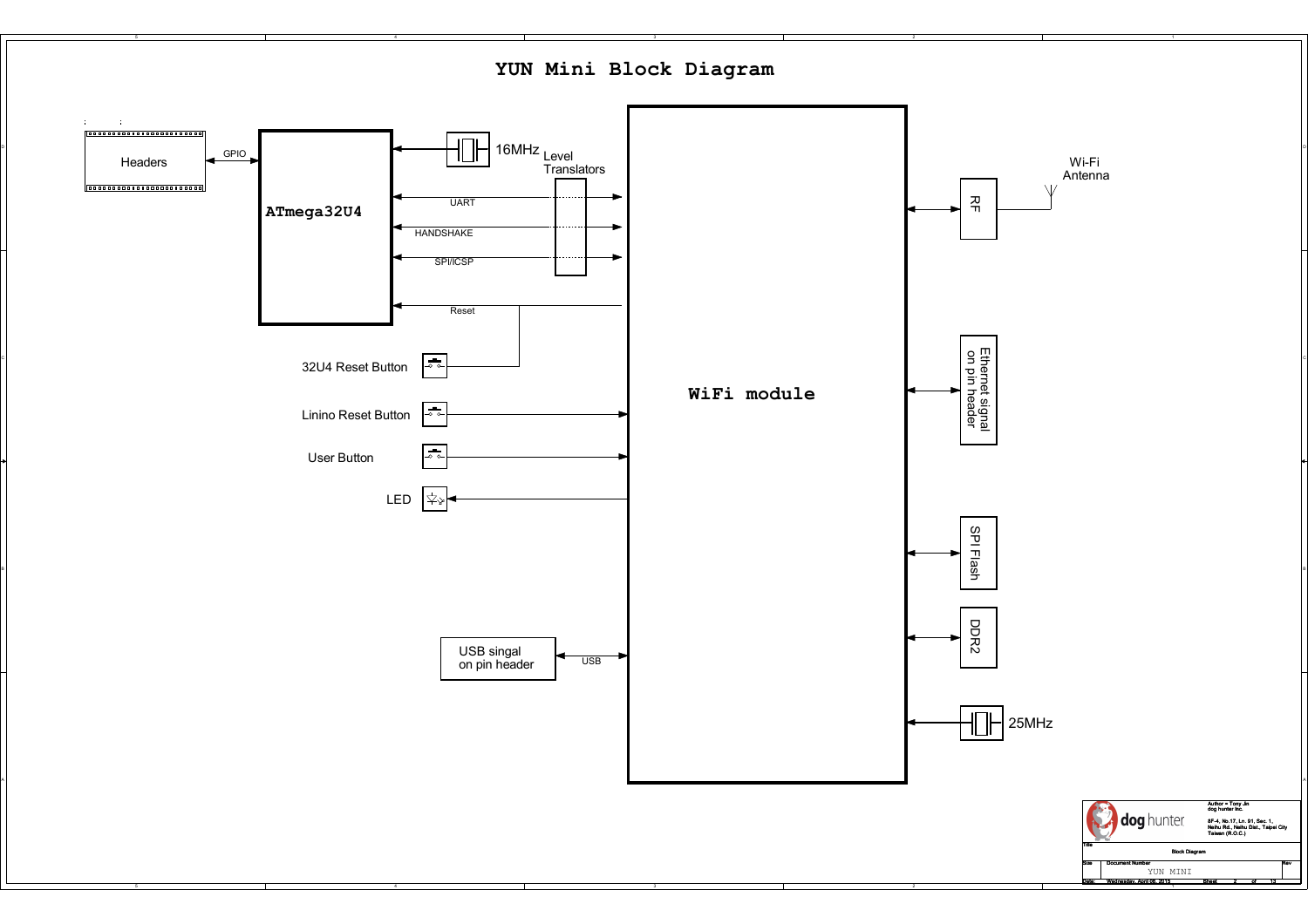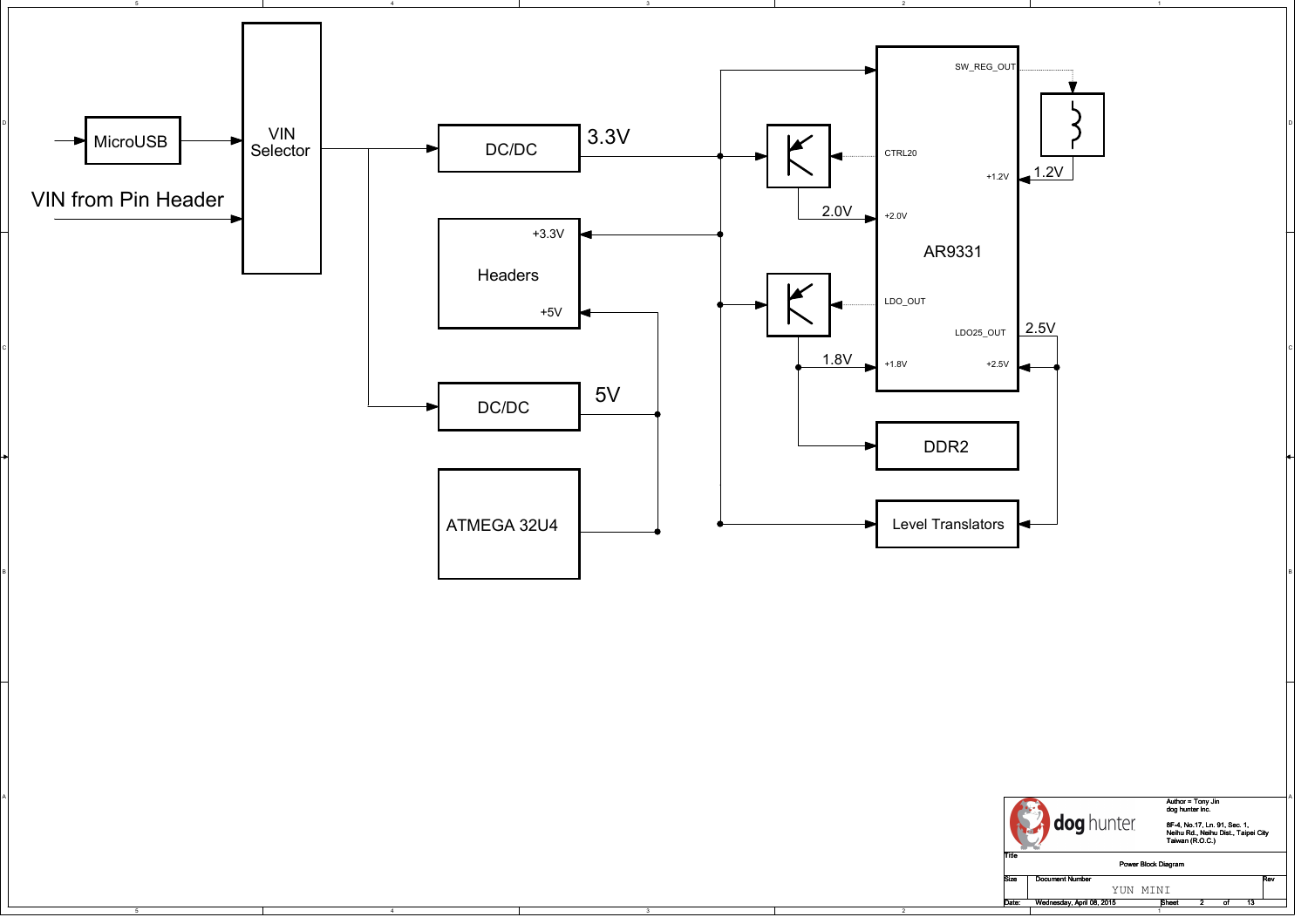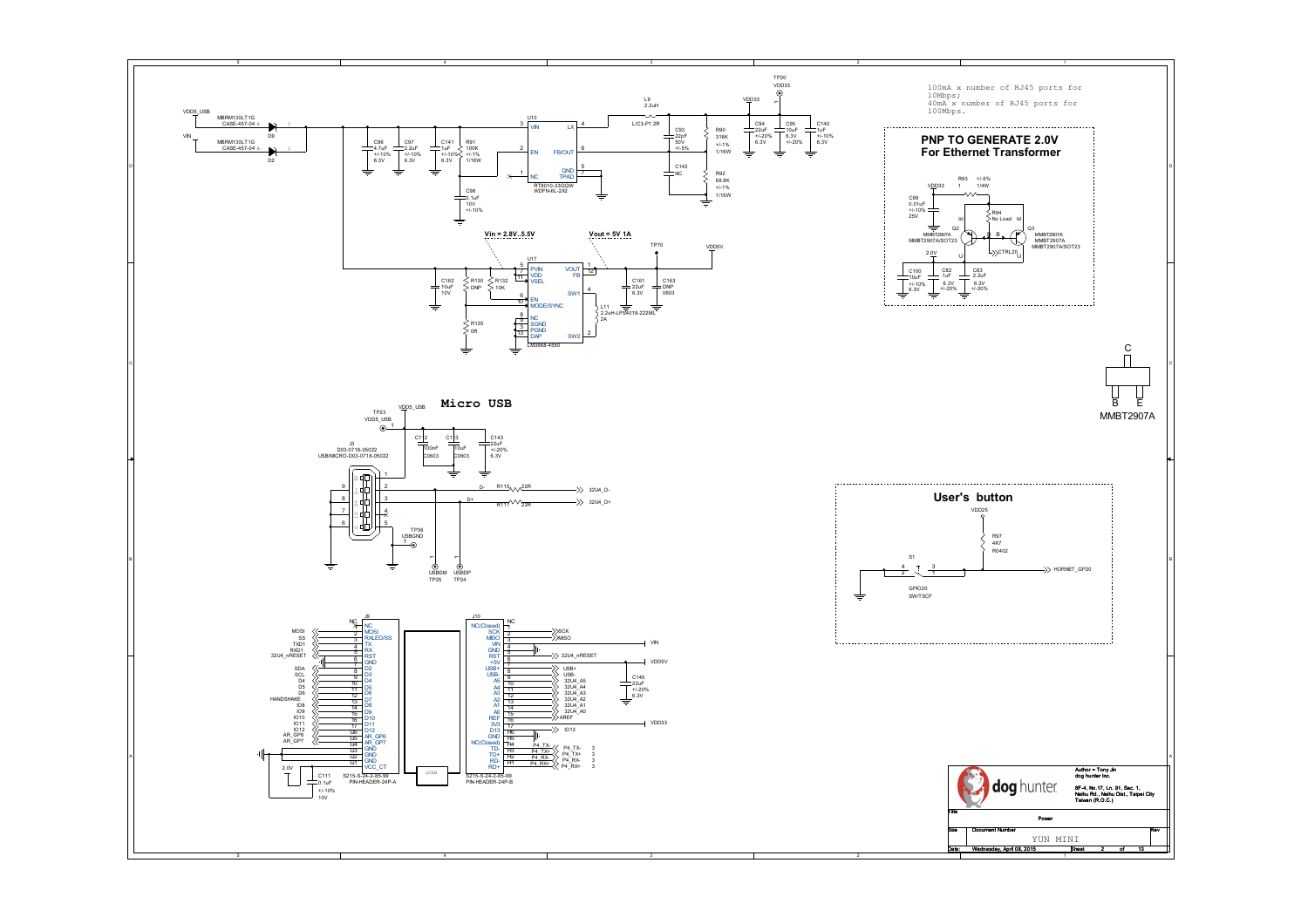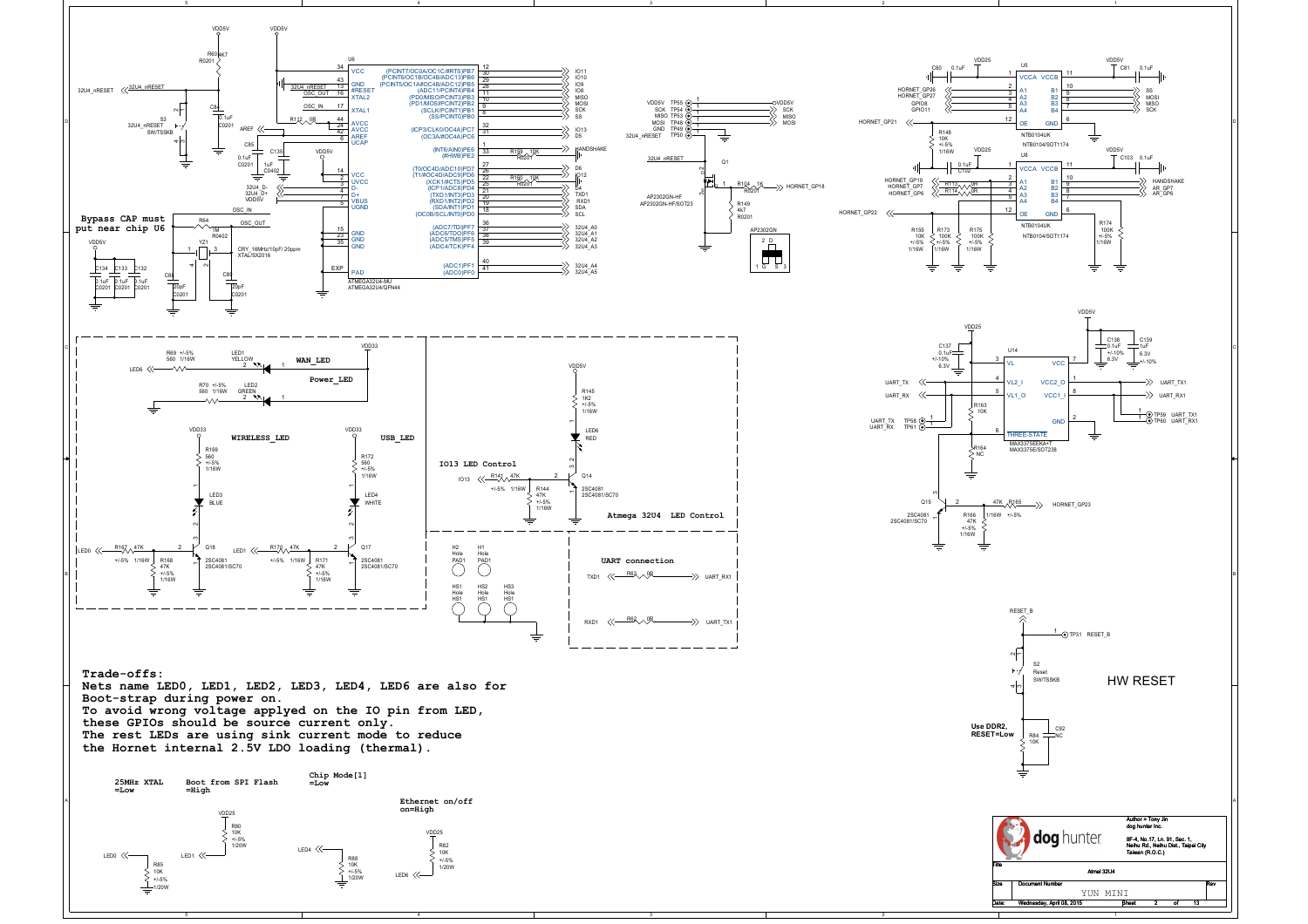